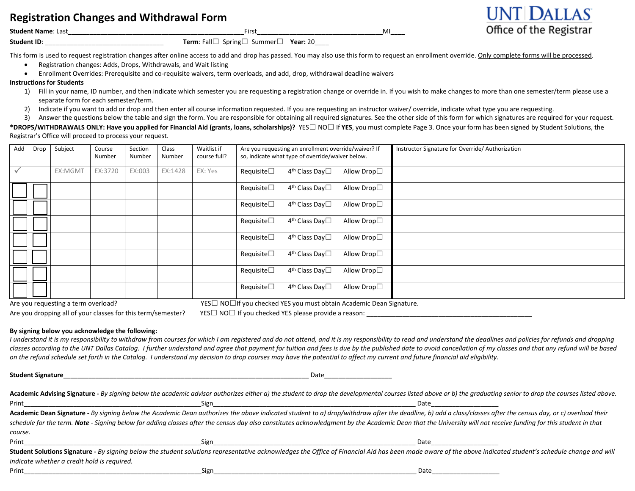# **Registration Changes and Withdrawal Form**

**Student Name**: Last\_\_\_\_\_\_\_\_\_\_\_\_\_\_\_\_\_\_\_\_\_\_\_\_\_\_\_\_\_\_\_\_\_\_\_\_\_\_\_\_\_\_\_\_\_\_\_\_\_First\_\_\_\_\_\_\_\_\_\_\_\_\_\_\_\_\_\_\_\_\_\_\_\_\_\_\_\_\_\_\_\_\_\_\_MI\_\_\_\_

**Student ID**: \_\_\_\_\_\_\_\_\_\_\_\_\_\_\_\_\_\_\_\_\_\_\_\_\_\_\_\_\_\_\_\_\_ **Term**: Fall☐ Spring☐ Summer☐ **Year:** 20\_\_\_\_

This form is used to request registration changes after online access to add and drop has passed. You may also use this form to request an enrollment override. Only complete forms will be processed.

- Registration changes: Adds, Drops, Withdrawals, and Wait listing
- Enrollment Overrides: Prerequisite and co-requisite waivers, term overloads, and add, drop, withdrawal deadline waivers

#### **Instructions for Students**

1) Fill in your name, ID number, and then indicate which semester you are requesting a registration change or override in. If you wish to make changes to more than one semester/term please use a separate form for each semester/term.

**INT DALLAS** 

Office of the Registrar

2) Indicate if you want to add or drop and then enter all course information requested. If you are requesting an instructor waiver/ override, indicate what type you are requesting.

3) Answer the questions below the table and sign the form. You are responsible for obtaining all required signatures. See the other side of this form for which signatures are required for your request.

**\*DROPS/WITHDRAWALS ONLY: Have you applied for Financial Aid (grants, loans, scholarships)?** YES☐ NO☐ If **YES**, you must complete Page 3. Once your form has been signed by Student Solutions, the Registrar's Office will proceed to process your request.

| Add          | Drop | Subject | Course<br>Number | Section<br>Number | Class<br>Number | Waitlist if<br>course full? | Are you requesting an enrollment override/waiver? If<br>so, indicate what type of override/waiver below. |                                  |             | Instructor Signature for Override/Authorization |
|--------------|------|---------|------------------|-------------------|-----------------|-----------------------------|----------------------------------------------------------------------------------------------------------|----------------------------------|-------------|-------------------------------------------------|
| $\checkmark$ |      | EX:MGMT | EX:3720          | EX:003            | EX:1428         | EX: Yes                     | Requisite $\square$                                                                                      | 4 <sup>th</sup> Class Day□       | Allow Drop□ |                                                 |
|              |      |         |                  |                   |                 |                             | Requisite $\square$                                                                                      | $4^{\text{th}}$ Class Day $\Box$ | Allow Drop□ |                                                 |
|              |      |         |                  |                   |                 |                             | Requisite $\square$                                                                                      | $4th$ Class Day $\Box$           | Allow Drop□ |                                                 |
|              |      |         |                  |                   |                 |                             | Requisite $\square$                                                                                      | 4 <sup>th</sup> Class Day□       | Allow Drop□ |                                                 |
|              |      |         |                  |                   |                 |                             | Requisite $\Box$                                                                                         | 4 <sup>th</sup> Class Day□       | Allow Drop□ |                                                 |
|              |      |         |                  |                   |                 |                             | Requisite $\Box$                                                                                         | 4 <sup>th</sup> Class Day□       | Allow Drop□ |                                                 |
|              |      |         |                  |                   |                 |                             | Requisite $\Box$                                                                                         | 4 <sup>th</sup> Class Day□       | Allow Drop□ |                                                 |
|              |      |         |                  |                   |                 |                             | Requisite $\square$                                                                                      | 4 <sup>th</sup> Class Day□       | Allow Drop□ |                                                 |

Are you dropping all of your classes for this term/semester? YES $\square$  NO $\square$  If you checked YES please provide a reason:

Are you requesting a term overload? YES□ YES□ NO□If you checked YES you must obtain Academic Dean Signature.

**By signing below you acknowledge the following:** 

I understand it is my responsibility to withdraw from courses for which I am registered and do not attend, and it is my responsibility to read and understand the deadlines and policies for refunds and dropping classes according to the UNT Dallas Catalog. I further understand and agree that payment for tuition and fees is due by the published date to avoid cancellation of my classes and that any refund will be based *on the refund schedule set forth in the Catalog. I understand my decision to drop courses may have the potential to affect my current and future financial aid eligibility.*

**Student Signature** Academic Advising Signature - By signing below the academic advisor authorizes either a) the student to drop the developmental courses listed above or b) the graduating senior to drop the courses listed above. Print\_\_\_\_\_\_\_\_\_\_\_\_\_\_\_\_\_\_\_\_\_\_\_\_\_\_\_\_\_\_\_\_\_\_\_\_\_\_\_\_\_\_\_\_\_\_\_\_\_\_Sign\_\_\_\_\_\_\_\_\_\_\_\_\_\_\_\_\_\_\_\_\_\_\_\_\_\_\_\_\_\_\_\_\_\_\_\_\_\_\_\_\_\_\_\_\_\_\_\_\_\_\_\_\_\_\_\_\_ Date\_\_\_\_\_\_\_\_\_\_\_\_\_\_\_\_\_\_\_ **Academic Dean Signature -** *By signing below the Academic Dean authorizes the above indicated student to a) drop/withdraw after the deadline, b) add a class/classes after the census day, or c) overload their* schedule for the term. Note - Signing below for adding classes after the census day also constitutes acknowledgment by the Academic Dean that the University will not receive funding for this student in that *course.* Print\_\_\_\_\_\_\_\_\_\_\_\_\_\_\_\_\_\_\_\_\_\_\_\_\_\_\_\_\_\_\_\_\_\_\_\_\_\_\_\_\_\_\_\_\_\_\_\_\_\_Sign\_\_\_\_\_\_\_\_\_\_\_\_\_\_\_\_\_\_\_\_\_\_\_\_\_\_\_\_\_\_\_\_\_\_\_\_\_\_\_\_\_\_\_\_\_\_\_\_\_\_\_\_\_\_\_\_\_ Date\_\_\_\_\_\_\_\_\_\_\_\_\_\_\_\_\_\_\_ Student Solutions Signature - By signing below the student solutions representative acknowledges the Office of Financial Aid has been made aware of the above indicated student's schedule change and will *indicate whether a credit hold is required.* Print\_\_\_\_\_\_\_\_\_\_\_\_\_\_\_\_\_\_\_\_\_\_\_\_\_\_\_\_\_\_\_\_\_\_\_\_\_\_\_\_\_\_\_\_\_\_\_\_\_\_Sign\_\_\_\_\_\_\_\_\_\_\_\_\_\_\_\_\_\_\_\_\_\_\_\_\_\_\_\_\_\_\_\_\_\_\_\_\_\_\_\_\_\_\_\_\_\_\_\_\_\_\_\_\_\_\_\_\_ Date\_\_\_\_\_\_\_\_\_\_\_\_\_\_\_\_\_\_\_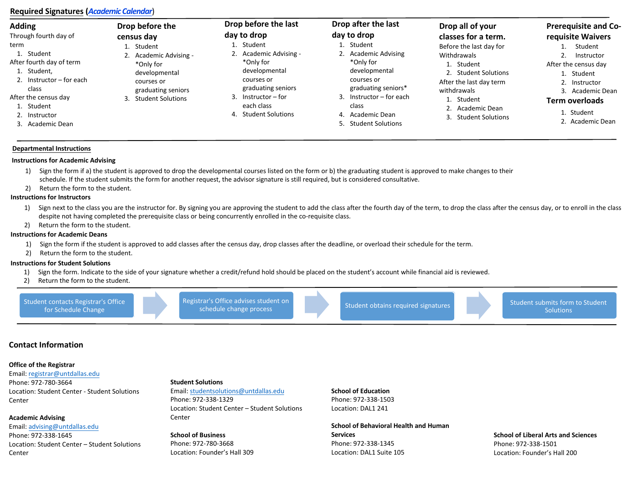## **Required Signatures (***[Academic Calendar](https://www.untdallas.edu/registrar/academic-calendars.php)*)

| <b>Adding</b>                                                                                                                                             | Drop before the                                                                        | Drop before the last                                                                                                               | Drop after the last                                                                                                                                                                                                                                                                         | Drop all of your        | <b>Prerequisite and Co-</b>                                                                                                        |
|-----------------------------------------------------------------------------------------------------------------------------------------------------------|----------------------------------------------------------------------------------------|------------------------------------------------------------------------------------------------------------------------------------|---------------------------------------------------------------------------------------------------------------------------------------------------------------------------------------------------------------------------------------------------------------------------------------------|-------------------------|------------------------------------------------------------------------------------------------------------------------------------|
| Through fourth day of                                                                                                                                     | census day                                                                             | day to drop                                                                                                                        | day to drop                                                                                                                                                                                                                                                                                 | classes for a term.     | requisite Waivers                                                                                                                  |
| term                                                                                                                                                      | Student                                                                                | 1. Student                                                                                                                         | 1. Student                                                                                                                                                                                                                                                                                  | Before the last day for | Student                                                                                                                            |
| 1. Student                                                                                                                                                | 2. Academic Advising -                                                                 | 2. Academic Advising -                                                                                                             | 2. Academic Advising                                                                                                                                                                                                                                                                        | Withdrawals             | Instructor                                                                                                                         |
| After fourth day of term<br>1. Student,<br>2. Instructor $-$ for each<br>class<br>After the census day<br>1. Student<br>2. Instructor<br>3. Academic Dean | *Only for<br>developmental<br>courses or<br>graduating seniors<br>3. Student Solutions | *Only for<br>developmental<br>courses or<br>graduating seniors<br>Instructor – for<br>each class<br><b>Student Solutions</b><br>4. | *Only for<br>Student<br>developmental<br>2. Student Solutions<br>courses or<br>After the last day term<br>graduating seniors*<br>withdrawals<br>3. Instructor $-$ for each<br>Student<br>class<br>Academic Dean<br>4. Academic Dean<br><b>Student Solutions</b><br><b>Student Solutions</b> |                         | After the census day<br>1. Student<br>2. Instructor<br>3. Academic Dean<br><b>Term overloads</b><br>1. Student<br>2. Academic Dean |

#### **Departmental Instructions**

#### **Instructions for Academic Advising**

- 1) Sign the form if a) the student is approved to drop the developmental courses listed on the form or b) the graduating student is approved to make changes to their schedule. If the student submits the form for another request, the advisor signature is still required, but is considered consultative.
- 2) Return the form to the student.

#### **Instructions for Instructors**

- 1) Sign next to the class you are the instructor for. By signing you are approving the student to add the class after the fourth day of the term, to drop the class after the census day, or to enroll in the class despite not having completed the prerequisite class or being concurrently enrolled in the co-requisite class.
- 2) Return the form to the student.

#### **Instructions for Academic Deans**

- 1) Sign the form if the student is approved to add classes after the census day, drop classes after the deadline, or overload their schedule for the term.
- 2) Return the form to the student.

#### **Instructions for Student Solutions**

- 1) Sign the form. Indicate to the side of your signature whether a credit/refund hold should be placed on the student's account while financial aid is reviewed.
- 2) Return the form to the student.



## **Contact Information**

#### **Office [of the Registrar](mailto:registrar@untdallas.edu)**

Email: registrar@untdallas.edu Phone: 972-780-3664 Location: Student Center - Student Solutions Center

### **Acad[emic Advising](mailto:advising@untdallas.edu)**

Email: advising@untdallas.edu

Phone: 972-338-1645 Location: Student Center – Student Solutions Center

#### **Student Solutions**

Email: studentsolutions@untdallas.edu Phone: 972-338-1329 Location: Student Center – Student Solutions Center

**School of Business** Phone: 972-780-3668 Location: Founder's Hall 309 **School of Education**  Phone: 972-338-1503 Location: DAL1 241

## **School of Behavioral Health and Human**

**Services**  Phone: 972-338-1345 Location: DAL1 Suite 105 **School of Liberal Arts and Sciences** Phone: 972-338-1501 Location: Founder's Hall 200